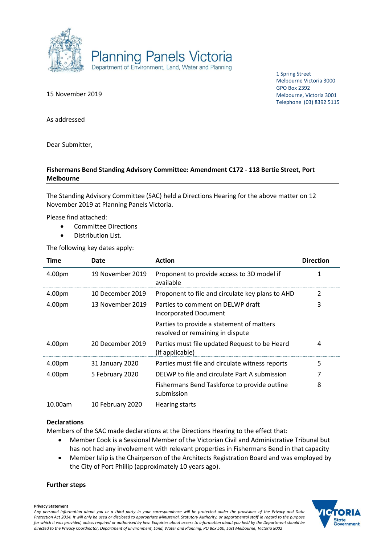

15 November 2019

1 Spring Street Melbourne Victoria 3000 GPO Box 2392 Melbourne, Victoria 3001 Telephone (03) 8392 5115

As addressed

Dear Submitter,

## **Fishermans Bend Standing Advisory Committee: Amendment C172 - 118 Bertie Street, Port Melbourne**

The Standing Advisory Committee (SAC) held a Directions Hearing for the above matter on 12 November 2019 at Planning Panels Victoria.

Please find attached:

- Committee Directions
- Distribution List.

The following key dates apply:

| Time    | Date             | <b>Action</b>                                                                 | <b>Direction</b> |
|---------|------------------|-------------------------------------------------------------------------------|------------------|
| 4.00pm  | 19 November 2019 | Proponent to provide access to 3D model if<br>available                       |                  |
| 4.00pm  | 10 December 2019 | Proponent to file and circulate key plans to AHD                              | $\overline{2}$   |
| 4.00pm  | 13 November 2019 | Parties to comment on DELWP draft<br>Incorporated Document                    | 3                |
|         |                  | Parties to provide a statement of matters<br>resolved or remaining in dispute |                  |
| 4.00pm  | 20 December 2019 | Parties must file updated Request to be Heard<br>(if applicable)              | 4                |
| 4.00pm  | 31 January 2020  | Parties must file and circulate witness reports                               | 5                |
| 4.00pm  | 5 February 2020  | DELWP to file and circulate Part A submission                                 | 7                |
|         |                  | Fishermans Bend Taskforce to provide outline<br>submission                    | 8                |
| 10.00am | 10 February 2020 | Hearing starts                                                                |                  |

### **Declarations**

Members of the SAC made declarations at the Directions Hearing to the effect that:

- Member Cook is a Sessional Member of the Victorian Civil and Administrative Tribunal but has not had any involvement with relevant properties in Fishermans Bend in that capacity
- Member Islip is the Chairperson of the Architects Registration Board and was employed by the City of Port Phillip (approximately 10 years ago).

#### **Further steps**

**Privacy Statement** *Any personal information about you or a third party in your correspondence will be protected under the provisions of the Privacy and Data Protection Act 2014. It will only be used or disclosed to appropriate Ministerial, Statutory Authority, or departmental staff in regard to the purpose for which it was provided, unless required or authorised by law. Enquiries about access to information about you held by the Department should be directed to the Privacy Coordinator, Department of Environment, Land, Water and Planning, PO Box 500, East Melbourne, Victoria 8002*

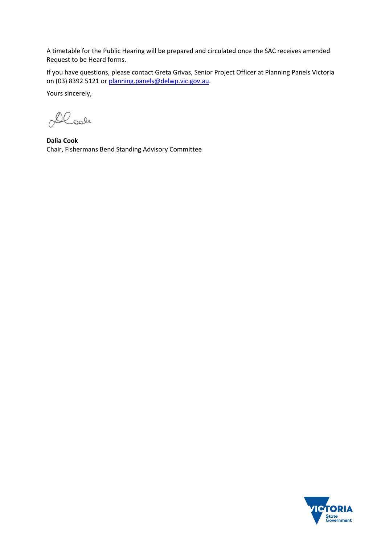A timetable for the Public Hearing will be prepared and circulated once the SAC receives amended Request to be Heard forms.

If you have questions, please contact Greta Grivas, Senior Project Officer at Planning Panels Victoria on (03) 8392 5121 or [planning.panels@delwp.vic.gov.au.](mailto:planning.panels@delwp.vic.gov.au)

Yours sincerely,

Dlook

**Dalia Cook** Chair, Fishermans Bend Standing Advisory Committee

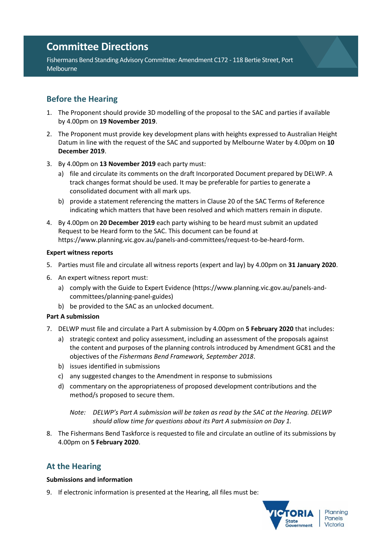# **Committee Directions**

Fishermans Bend Standing Advisory Committee: Amendment C172 - 118 Bertie Street, Port Melbourne

# **Before the Hearing**

- 1. The Proponent should provide 3D modelling of the proposal to the SAC and parties if available by 4.00pm on **19 November 2019**.
- 2. The Proponent must provide key development plans with heights expressed to Australian Height Datum in line with the request of the SAC and supported by Melbourne Water by 4.00pm on **10 December 2019**.
- 3. By 4.00pm on **13 November 2019** each party must:
	- a) file and circulate its comments on the draft Incorporated Document prepared by DELWP. A track changes format should be used. It may be preferable for parties to generate a consolidated document with all mark ups.
	- b) provide a statement referencing the matters in Clause 20 of the SAC Terms of Reference indicating which matters that have been resolved and which matters remain in dispute.
- 4. By 4.00pm on **20 December 2019** each party wishing to be heard must submit an updated Request to be Heard form to the SAC. This document can be found at https://www.planning.vic.gov.au/panels-and-committees/request-to-be-heard-form.

# **Expert witness reports**

- 5. Parties must file and circulate all witness reports (expert and lay) by 4.00pm on **31 January 2020**.
- 6. An expert witness report must:
	- a) comply with the Guide to Expert Evidence (https://www.planning.vic.gov.au/panels-andcommittees/planning-panel-guides)
	- b) be provided to the SAC as an unlocked document.

# **Part A submission**

- 7. DELWP must file and circulate a Part A submission by 4.00pm on **5 February 2020** that includes:
	- a) strategic context and policy assessment, including an assessment of the proposals against the content and purposes of the planning controls introduced by Amendment GC81 and the objectives of the *Fishermans Bend Framework, September 2018*.
	- b) issues identified in submissions
	- c) any suggested changes to the Amendment in response to submissions
	- d) commentary on the appropriateness of proposed development contributions and the method/s proposed to secure them.

*Note: DELWP's Part A submission will be taken as read by the SAC at the Hearing. DELWP should allow time for questions about its Part A submission on Day 1.* 

8. The Fishermans Bend Taskforce is requested to file and circulate an outline of its submissions by 4.00pm on **5 February 2020**.

# **At the Hearing**

# **Submissions and information**

9. If electronic information is presented at the Hearing, all files must be: